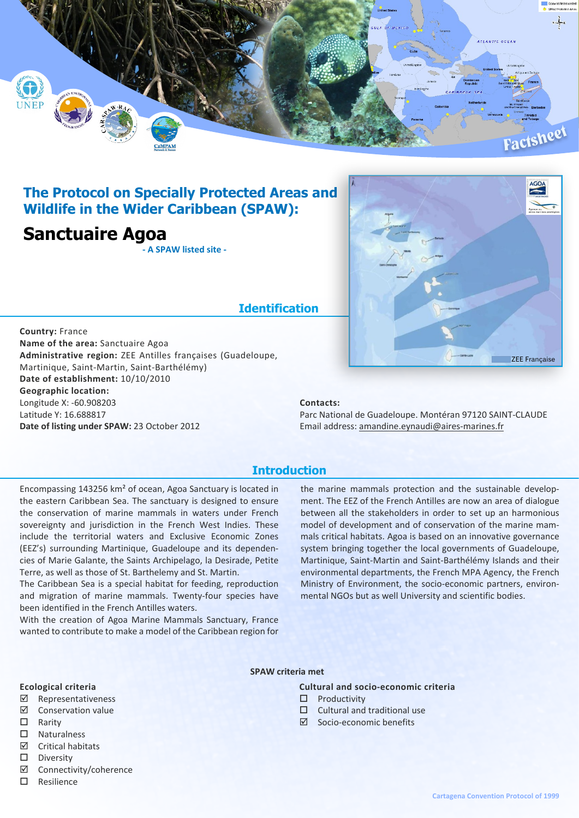

## **The Protocol on Specially Protected Areas and Wildlife in the Wider Caribbean (SPAW):**

## **Sanctuaire Agoa**

**- A SPAW listed site -**

# **Identification**

**Country:** France **Name of the area:** Sanctuaire Agoa **Administrative region:** ZEE Antilles françaises (Guadeloupe, Martinique, Saint-Martin, Saint-Barthélémy) **Date of establishment:** 10/10/2010 **Geographic location:** Longitude X: -60.908203 Latitude Y: 16.688817 **Date of listing under SPAW:** 23 October 2012

## **Contacts:**

Parc National de Guadeloupe. Montéran 97120 SAINT-CLAUDE Email address: amandine.eynaudi@aires-marines.fr

ZEE Française

### **Introduction**

Encompassing 143256 km² of ocean, Agoa Sanctuary is located in the eastern Caribbean Sea. The sanctuary is designed to ensure the conservation of marine mammals in waters under French sovereignty and jurisdiction in the French West Indies. These include the territorial waters and Exclusive Economic Zones (EEZ's) surrounding Martinique, Guadeloupe and its dependencies of Marie Galante, the Saints Archipelago, la Desirade, Petite Terre, as well as those of St. Barthelemy and St. Martin.

The Caribbean Sea is a special habitat for feeding, reproduction and migration of marine mammals. Twenty-four species have been identified in the French Antilles waters.

With the creation of Agoa Marine Mammals Sanctuary, France wanted to contribute to make a model of the Caribbean region for the marine mammals protection and the sustainable development. The EEZ of the French Antilles are now an area of dialogue between all the stakeholders in order to set up an harmonious model of development and of conservation of the marine mammals critical habitats. Agoa is based on an innovative governance system bringing together the local governments of Guadeloupe, Martinique, Saint-Martin and Saint-Barthélémy Islands and their environmental departments, the French MPA Agency, the French Ministry of Environment, the socio-economic partners, environmental NGOs but as well University and scientific bodies.

#### **SPAW criteria met**

#### **Ecological criteria**

- ˛ Representativeness
- ˛ Conservation value
- $\square$  Rarity
- $\square$  Naturalness
- $\boxtimes$  Critical habitats
- $\square$  Diversity
- ˛ Connectivity/coherence
- $\square$  Resilience

**Cultural and socio-economic criteria**

- $\square$  Productivity
- $\Box$  Cultural and traditional use
- $\boxtimes$  Socio-economic benefits